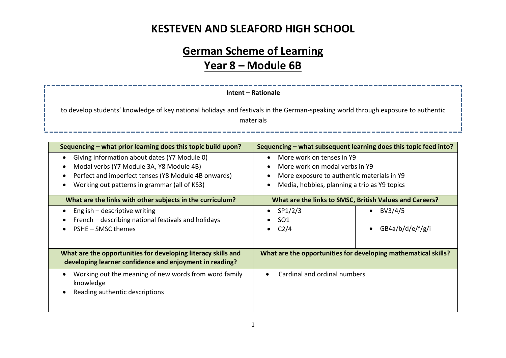# **German Scheme of Learning Year 8 – Module 6B**

#### **Intent – Rationale**

\_\_\_\_\_\_\_\_\_\_\_

to develop students' knowledge of key national holidays and festivals in the German-speaking world through exposure to authentic materials

| Sequencing – what prior learning does this topic build upon?                                                                                                                                    | Sequencing – what subsequent learning does this topic feed into?                                                                                          |  |  |
|-------------------------------------------------------------------------------------------------------------------------------------------------------------------------------------------------|-----------------------------------------------------------------------------------------------------------------------------------------------------------|--|--|
| Giving information about dates (Y7 Module 0)<br>Modal verbs (Y7 Module 3A, Y8 Module 4B)<br>Perfect and imperfect tenses (Y8 Module 4B onwards)<br>Working out patterns in grammar (all of KS3) | More work on tenses in Y9<br>More work on modal verbs in Y9<br>More exposure to authentic materials in Y9<br>Media, hobbies, planning a trip as Y9 topics |  |  |
| What are the links with other subjects in the curriculum?                                                                                                                                       | What are the links to SMSC, British Values and Careers?                                                                                                   |  |  |
| English – descriptive writing<br>French – describing national festivals and holidays<br>PSHE - SMSC themes                                                                                      | BV3/4/5<br>SP1/2/3<br>$\bullet$<br>SO <sub>1</sub><br>C <sub>2</sub> /4<br>GB4a/b/d/e/f/g/i                                                               |  |  |
| What are the opportunities for developing literacy skills and<br>developing learner confidence and enjoyment in reading?                                                                        | What are the opportunities for developing mathematical skills?                                                                                            |  |  |
| Working out the meaning of new words from word family<br>knowledge<br>Reading authentic descriptions                                                                                            | Cardinal and ordinal numbers                                                                                                                              |  |  |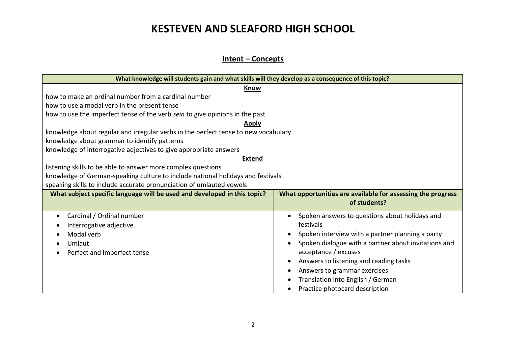#### **Intent – Concepts**

| What knowledge will students gain and what skills will they develop as a consequence of this topic? |                                                                             |  |  |  |  |
|-----------------------------------------------------------------------------------------------------|-----------------------------------------------------------------------------|--|--|--|--|
| <b>Know</b>                                                                                         |                                                                             |  |  |  |  |
| how to make an ordinal number from a cardinal number                                                |                                                                             |  |  |  |  |
| how to use a modal verb in the present tense                                                        |                                                                             |  |  |  |  |
| how to use the imperfect tense of the verb sein to give opinions in the past                        |                                                                             |  |  |  |  |
| <b>Apply</b>                                                                                        |                                                                             |  |  |  |  |
| knowledge about regular and irregular verbs in the perfect tense to new vocabulary                  |                                                                             |  |  |  |  |
| knowledge about grammar to identify patterns                                                        |                                                                             |  |  |  |  |
| knowledge of interrogative adjectives to give appropriate answers                                   |                                                                             |  |  |  |  |
| <b>Extend</b>                                                                                       |                                                                             |  |  |  |  |
| listening skills to be able to answer more complex questions                                        |                                                                             |  |  |  |  |
| knowledge of German-speaking culture to include national holidays and festivals                     |                                                                             |  |  |  |  |
| speaking skills to include accurate pronunciation of umlauted vowels                                |                                                                             |  |  |  |  |
| What subject specific language will be used and developed in this topic?                            | What opportunities are available for assessing the progress<br>of students? |  |  |  |  |
|                                                                                                     |                                                                             |  |  |  |  |
| Cardinal / Ordinal number<br>$\bullet$                                                              | Spoken answers to questions about holidays and                              |  |  |  |  |
| Interrogative adjective                                                                             | festivals                                                                   |  |  |  |  |
| Modal verb                                                                                          | Spoken interview with a partner planning a party                            |  |  |  |  |
| Umlaut                                                                                              | Spoken dialogue with a partner about invitations and                        |  |  |  |  |
| Perfect and imperfect tense                                                                         | acceptance / excuses                                                        |  |  |  |  |
|                                                                                                     | Answers to listening and reading tasks                                      |  |  |  |  |
|                                                                                                     | Answers to grammar exercises                                                |  |  |  |  |
|                                                                                                     | Translation into English / German                                           |  |  |  |  |
|                                                                                                     | Practice photocard description                                              |  |  |  |  |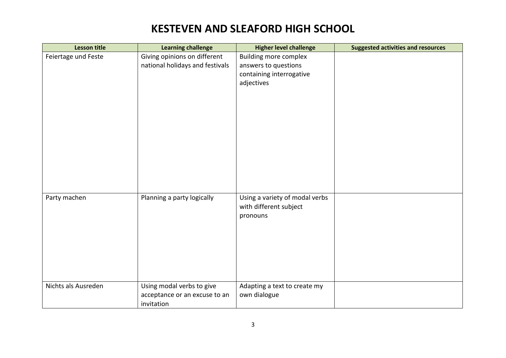| <b>Lesson title</b> | <b>Learning challenge</b>       | <b>Higher level challenge</b>  | <b>Suggested activities and resources</b> |
|---------------------|---------------------------------|--------------------------------|-------------------------------------------|
| Feiertage und Feste | Giving opinions on different    | <b>Building more complex</b>   |                                           |
|                     | national holidays and festivals | answers to questions           |                                           |
|                     |                                 | containing interrogative       |                                           |
|                     |                                 | adjectives                     |                                           |
|                     |                                 |                                |                                           |
|                     |                                 |                                |                                           |
|                     |                                 |                                |                                           |
|                     |                                 |                                |                                           |
|                     |                                 |                                |                                           |
|                     |                                 |                                |                                           |
|                     |                                 |                                |                                           |
|                     |                                 |                                |                                           |
|                     |                                 |                                |                                           |
|                     |                                 |                                |                                           |
|                     |                                 |                                |                                           |
|                     |                                 |                                |                                           |
| Party machen        | Planning a party logically      | Using a variety of modal verbs |                                           |
|                     |                                 | with different subject         |                                           |
|                     |                                 | pronouns                       |                                           |
|                     |                                 |                                |                                           |
|                     |                                 |                                |                                           |
|                     |                                 |                                |                                           |
|                     |                                 |                                |                                           |
|                     |                                 |                                |                                           |
|                     |                                 |                                |                                           |
|                     |                                 |                                |                                           |
| Nichts als Ausreden | Using modal verbs to give       | Adapting a text to create my   |                                           |
|                     | acceptance or an excuse to an   | own dialogue                   |                                           |
|                     | invitation                      |                                |                                           |